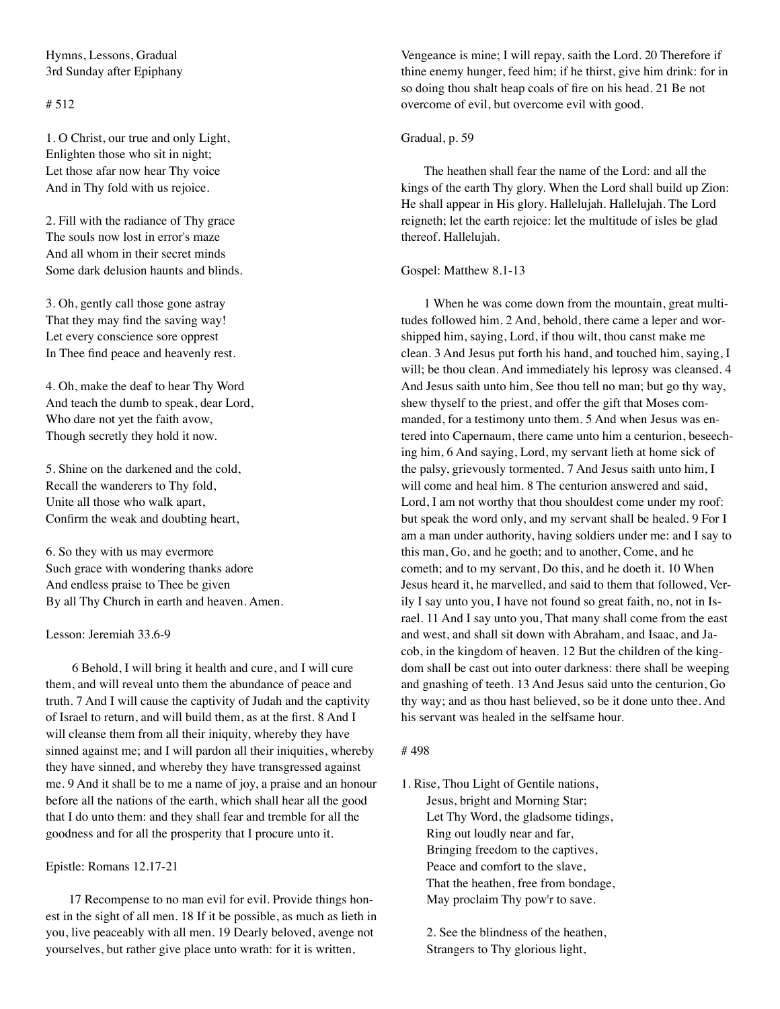Hymns, Lessons, Gradual 3rd Sunday after Epiphany

# # 512

1. O Christ, our true and only Light, Enlighten those who sit in night; Let those afar now hear Thy voice And in Thy fold with us rejoice.

2. Fill with the radiance of Thy grace The souls now lost in error's maze And all whom in their secret minds Some dark delusion haunts and blinds.

3. Oh, gently call those gone astray That they may find the saving way! Let every conscience sore opprest In Thee find peace and heavenly rest.

4. Oh, make the deaf to hear Thy Word And teach the dumb to speak, dear Lord, Who dare not yet the faith avow, Though secretly they hold it now.

5. Shine on the darkened and the cold, Recall the wanderers to Thy fold, Unite all those who walk apart, Confirm the weak and doubting heart,

6. So they with us may evermore Such grace with wondering thanks adore And endless praise to Thee be given By all Thy Church in earth and heaven. Amen.

Lesson: Jeremiah 33.6-9

 6 Behold, I will bring it health and cure, and I will cure them, and will reveal unto them the abundance of peace and truth. 7 And I will cause the captivity of Judah and the captivity of Israel to return, and will build them, as at the first. 8 And I will cleanse them from all their iniquity, whereby they have sinned against me; and I will pardon all their iniquities, whereby they have sinned, and whereby they have transgressed against me. 9 And it shall be to me a name of joy, a praise and an honour before all the nations of the earth, which shall hear all the good that I do unto them: and they shall fear and tremble for all the goodness and for all the prosperity that I procure unto it.

Epistle: Romans 12.17-21

17 Recompense to no man evil for evil. Provide things honest in the sight of all men. 18 If it be possible, as much as lieth in you, live peaceably with all men. 19 Dearly beloved, avenge not yourselves, but rather give place unto wrath: for it is written,

Vengeance is mine; I will repay, saith the Lord. 20 Therefore if thine enemy hunger, feed him; if he thirst, give him drink: for in so doing thou shalt heap coals of fire on his head. 21 Be not overcome of evil, but overcome evil with good.

## Gradual, p. 59

The heathen shall fear the name of the Lord: and all the kings of the earth Thy glory. When the Lord shall build up Zion: He shall appear in His glory. Hallelujah. Hallelujah. The Lord reigneth; let the earth rejoice: let the multitude of isles be glad thereof. Hallelujah.

## Gospel: Matthew 8.1-13

1 When he was come down from the mountain, great multitudes followed him. 2 And, behold, there came a leper and worshipped him, saying, Lord, if thou wilt, thou canst make me clean. 3 And Jesus put forth his hand, and touched him, saying, I will; be thou clean. And immediately his leprosy was cleansed. 4 And Jesus saith unto him, See thou tell no man; but go thy way, shew thyself to the priest, and offer the gift that Moses commanded, for a testimony unto them. 5 And when Jesus was entered into Capernaum, there came unto him a centurion, beseeching him, 6 And saying, Lord, my servant lieth at home sick of the palsy, grievously tormented. 7 And Jesus saith unto him, I will come and heal him. 8 The centurion answered and said, Lord, I am not worthy that thou shouldest come under my roof: but speak the word only, and my servant shall be healed. 9 For I am a man under authority, having soldiers under me: and I say to this man, Go, and he goeth; and to another, Come, and he cometh; and to my servant, Do this, and he doeth it. 10 When Jesus heard it, he marvelled, and said to them that followed, Verily I say unto you, I have not found so great faith, no, not in Israel. 11 And I say unto you, That many shall come from the east and west, and shall sit down with Abraham, and Isaac, and Jacob, in the kingdom of heaven. 12 But the children of the kingdom shall be cast out into outer darkness: there shall be weeping and gnashing of teeth. 13 And Jesus said unto the centurion, Go thy way; and as thou hast believed, so be it done unto thee. And his servant was healed in the selfsame hour.

### # 498

1. Rise, Thou Light of Gentile nations, Jesus, bright and Morning Star; Let Thy Word, the gladsome tidings, Ring out loudly near and far, Bringing freedom to the captives, Peace and comfort to the slave, That the heathen, free from bondage, May proclaim Thy pow'r to save.

> 2. See the blindness of the heathen, Strangers to Thy glorious light,